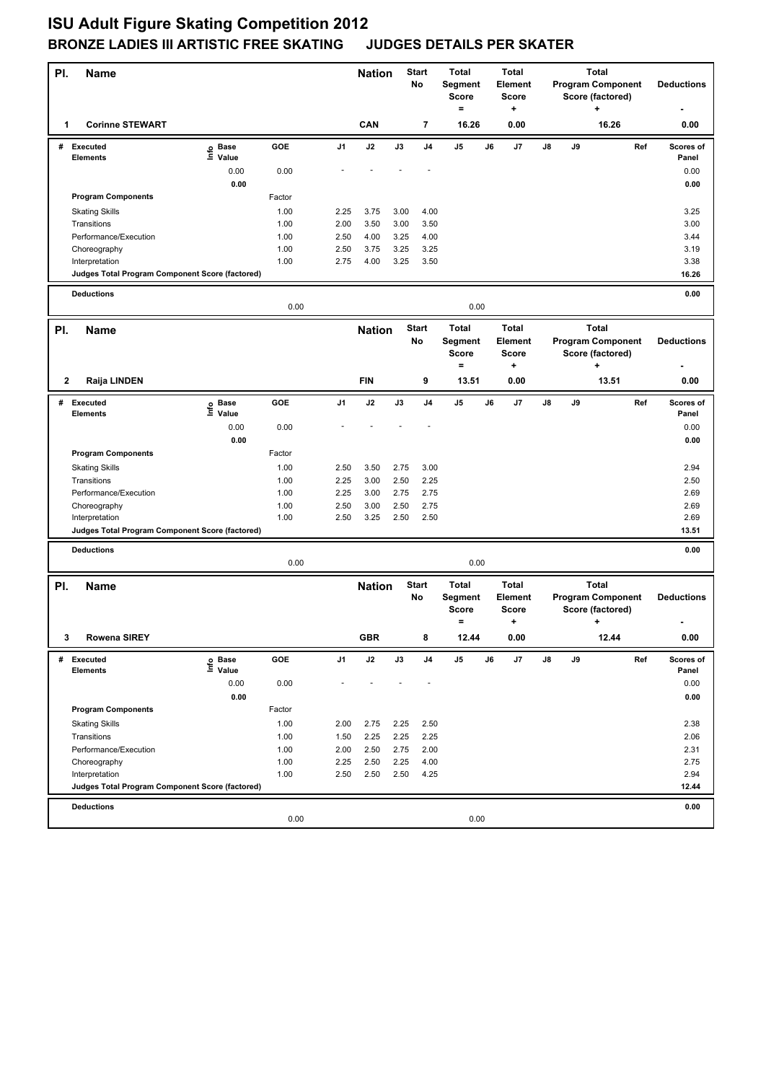| PI.          | <b>Name</b>                                     |                   |              |                | Start<br><b>Nation</b><br>No |              | <b>Total</b><br>Segment |                                                | <b>Total</b><br><b>Element</b> |                                              | <b>Program Component</b>                                     | <b>Deductions</b> |                                                                   |                   |                   |
|--------------|-------------------------------------------------|-------------------|--------------|----------------|------------------------------|--------------|-------------------------|------------------------------------------------|--------------------------------|----------------------------------------------|--------------------------------------------------------------|-------------------|-------------------------------------------------------------------|-------------------|-------------------|
|              |                                                 |                   |              |                |                              |              |                         | <b>Score</b><br>$=$                            |                                | <b>Score</b><br>+                            |                                                              |                   | Score (factored)<br>+                                             |                   |                   |
| 1            | <b>Corinne STEWART</b>                          |                   |              |                | CAN                          |              | 7                       | 16.26                                          |                                | 0.00                                         |                                                              |                   | 16.26                                                             |                   | 0.00              |
|              | # Executed                                      | e Base<br>⊆ Value | GOE          | J <sub>1</sub> | J2                           | J3           | J <sub>4</sub>          | J5                                             | J6                             | J7                                           | J8                                                           | J9                |                                                                   | Ref               | Scores of         |
|              | <b>Elements</b>                                 | 0.00              | 0.00         |                |                              |              |                         |                                                |                                |                                              |                                                              |                   |                                                                   |                   | Panel<br>0.00     |
|              |                                                 | 0.00              |              |                |                              |              |                         |                                                |                                |                                              |                                                              |                   |                                                                   |                   | 0.00              |
|              | <b>Program Components</b>                       |                   | Factor       |                |                              |              |                         |                                                |                                |                                              |                                                              |                   |                                                                   |                   |                   |
|              | <b>Skating Skills</b>                           |                   | 1.00         | 2.25           | 3.75                         | 3.00         | 4.00                    |                                                |                                |                                              |                                                              |                   |                                                                   |                   | 3.25              |
|              | Transitions                                     |                   | 1.00         | 2.00           | 3.50                         | 3.00         | 3.50                    |                                                |                                |                                              |                                                              |                   |                                                                   |                   | 3.00              |
|              | Performance/Execution                           |                   | 1.00         | 2.50           | 4.00                         | 3.25         | 4.00                    |                                                |                                |                                              |                                                              |                   |                                                                   |                   | 3.44              |
|              | Choreography                                    |                   | 1.00         | 2.50           | 3.75                         | 3.25         | 3.25                    |                                                |                                |                                              |                                                              |                   |                                                                   |                   | 3.19              |
|              | Interpretation                                  |                   | 1.00         | 2.75           | 4.00                         | 3.25         | 3.50                    |                                                |                                |                                              |                                                              |                   |                                                                   |                   | 3.38              |
|              | Judges Total Program Component Score (factored) |                   |              |                |                              |              |                         |                                                |                                |                                              |                                                              |                   |                                                                   |                   | 16.26             |
|              | <b>Deductions</b>                               |                   | 0.00         |                |                              |              |                         | 0.00                                           |                                |                                              |                                                              |                   |                                                                   |                   | 0.00              |
|              |                                                 |                   |              |                |                              |              |                         |                                                |                                |                                              |                                                              |                   |                                                                   |                   |                   |
| PI.          | <b>Name</b>                                     |                   |              |                | <b>Nation</b>                |              | <b>Start</b><br>No      | <b>Total</b><br><b>Segment</b><br><b>Score</b> |                                | <b>Total</b><br>Element<br><b>Score</b>      | <b>Total</b><br><b>Program Component</b><br>Score (factored) |                   |                                                                   | <b>Deductions</b> |                   |
| 2            | Raija LINDEN                                    |                   |              |                | <b>FIN</b>                   |              | 9                       | $=$<br>13.51                                   |                                | +<br>0.00                                    |                                                              |                   | ۰.<br>13.51                                                       |                   | 0.00              |
| #            | Executed                                        |                   | GOE          | J <sub>1</sub> | J2                           | J3           | J <sub>4</sub>          | J5                                             | J6                             | J7                                           | J8                                                           | J9                |                                                                   | Ref               | Scores of         |
|              | <b>Elements</b>                                 | e Base<br>⊆ Value |              |                |                              |              |                         |                                                |                                |                                              |                                                              |                   |                                                                   |                   | Panel             |
|              |                                                 | 0.00              | 0.00         |                |                              |              |                         |                                                |                                |                                              |                                                              |                   |                                                                   |                   | 0.00              |
|              |                                                 | 0.00              |              |                |                              |              |                         |                                                |                                |                                              |                                                              |                   |                                                                   |                   | 0.00              |
|              | <b>Program Components</b>                       |                   | Factor       |                |                              |              |                         |                                                |                                |                                              |                                                              |                   |                                                                   |                   |                   |
|              | <b>Skating Skills</b>                           |                   | 1.00         | 2.50           | 3.50                         | 2.75         | 3.00                    |                                                |                                |                                              |                                                              |                   |                                                                   |                   | 2.94              |
|              | Transitions                                     |                   | 1.00         | 2.25           | 3.00                         | 2.50         | 2.25                    |                                                |                                |                                              |                                                              |                   |                                                                   |                   | 2.50              |
|              | Performance/Execution                           |                   | 1.00<br>1.00 | 2.25<br>2.50   | 3.00<br>3.00                 | 2.75<br>2.50 | 2.75<br>2.75            |                                                |                                |                                              |                                                              |                   |                                                                   |                   | 2.69<br>2.69      |
|              | Choreography<br>Interpretation                  |                   | 1.00         | 2.50           | 3.25                         | 2.50         | 2.50                    |                                                |                                |                                              |                                                              |                   |                                                                   |                   | 2.69              |
|              | Judges Total Program Component Score (factored) |                   |              |                |                              |              |                         |                                                |                                |                                              |                                                              |                   |                                                                   |                   | 13.51             |
|              |                                                 |                   |              |                |                              |              |                         |                                                |                                |                                              |                                                              |                   |                                                                   |                   |                   |
|              | <b>Deductions</b>                               |                   | 0.00         |                |                              |              |                         | 0.00                                           |                                |                                              |                                                              |                   |                                                                   |                   | 0.00              |
| PI.          | <b>Name</b>                                     |                   |              |                | <b>Nation</b>                |              | <b>Start</b><br>No      | <b>Total</b><br>Segment<br><b>Score</b><br>$=$ |                                | <b>Total</b><br>Element<br><b>Score</b><br>٠ |                                                              |                   | <b>Total</b><br><b>Program Component</b><br>Score (factored)<br>+ |                   | <b>Deductions</b> |
| $\mathbf{3}$ | <b>Rowena SIREY</b>                             |                   |              |                | <b>GBR</b>                   |              |                         | 12.44                                          |                                | 0.00                                         |                                                              |                   | 12.44                                                             |                   | $0.00\,$          |
| #            | <b>Executed</b>                                 | e Base<br>⊑ Value | GOE          | J1             | J2                           | J3           | J4                      | J5                                             | J6                             | J7                                           | J8                                                           | J9                |                                                                   | Ref               | Scores of         |
|              | <b>Elements</b>                                 |                   |              |                |                              |              |                         |                                                |                                |                                              |                                                              |                   |                                                                   |                   | Panel             |
|              |                                                 | 0.00              | 0.00         |                |                              |              |                         |                                                |                                |                                              |                                                              |                   |                                                                   |                   | 0.00              |
|              |                                                 | 0.00              |              |                |                              |              |                         |                                                |                                |                                              |                                                              |                   |                                                                   |                   | 0.00              |
|              | <b>Program Components</b>                       |                   | Factor       |                |                              |              |                         |                                                |                                |                                              |                                                              |                   |                                                                   |                   |                   |
|              | <b>Skating Skills</b><br>Transitions            |                   | 1.00<br>1.00 | 2.00<br>1.50   | 2.75<br>2.25                 | 2.25<br>2.25 | 2.50<br>2.25            |                                                |                                |                                              |                                                              |                   |                                                                   |                   | 2.38<br>2.06      |
|              | Performance/Execution                           |                   | 1.00         | 2.00           | 2.50                         | 2.75         | 2.00                    |                                                |                                |                                              |                                                              |                   |                                                                   |                   | 2.31              |
|              | Choreography                                    |                   | 1.00         | 2.25           | 2.50                         | 2.25         | 4.00                    |                                                |                                |                                              |                                                              |                   |                                                                   |                   | 2.75              |
|              | Interpretation                                  |                   | 1.00         | 2.50           | 2.50                         | 2.50         | 4.25                    |                                                |                                |                                              |                                                              |                   |                                                                   |                   | 2.94              |
|              | Judges Total Program Component Score (factored) |                   |              |                |                              |              |                         |                                                |                                |                                              |                                                              |                   |                                                                   |                   | 12.44             |
|              | <b>Deductions</b>                               |                   |              |                |                              |              |                         |                                                |                                |                                              |                                                              |                   |                                                                   |                   | 0.00              |
|              |                                                 |                   | 0.00         |                |                              |              |                         | 0.00                                           |                                |                                              |                                                              |                   |                                                                   |                   |                   |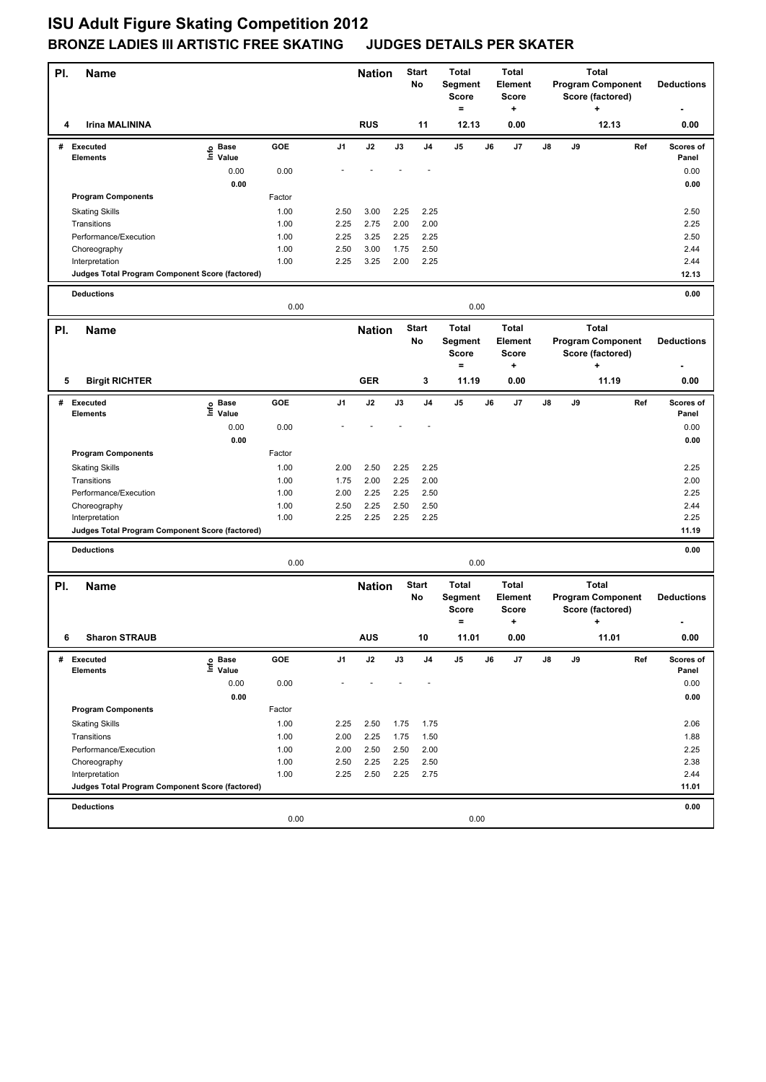| PI. | <b>Name</b>                                     |                   |              |                | <b>Nation</b> |              | <b>Total</b><br>Start<br>No<br>Segment<br><b>Score</b><br>$=$ |                                                | <b>Total</b><br><b>Element</b><br><b>Score</b><br>۰. |                                              |    | <b>Total</b><br><b>Program Component</b><br>Score (factored)<br>٠ |                                                                   |     | <b>Deductions</b>  |
|-----|-------------------------------------------------|-------------------|--------------|----------------|---------------|--------------|---------------------------------------------------------------|------------------------------------------------|------------------------------------------------------|----------------------------------------------|----|-------------------------------------------------------------------|-------------------------------------------------------------------|-----|--------------------|
| 4   | <b>Irina MALININA</b>                           |                   |              |                | <b>RUS</b>    |              | 11                                                            | 12.13                                          |                                                      | 0.00                                         |    |                                                                   | 12.13                                                             |     | 0.00               |
|     | # Executed<br><b>Elements</b>                   | e Base<br>⊆ Value | GOE          | J <sub>1</sub> | J2            | J3           | J <sub>4</sub>                                                | J5                                             | J6                                                   | J7                                           | J8 | J9                                                                |                                                                   | Ref | Scores of<br>Panel |
|     |                                                 | 0.00              | 0.00         |                |               |              |                                                               |                                                |                                                      |                                              |    |                                                                   |                                                                   |     | 0.00               |
|     |                                                 | 0.00              |              |                |               |              |                                                               |                                                |                                                      |                                              |    |                                                                   |                                                                   |     | 0.00               |
|     | <b>Program Components</b>                       |                   | Factor       |                |               |              |                                                               |                                                |                                                      |                                              |    |                                                                   |                                                                   |     |                    |
|     | <b>Skating Skills</b>                           |                   | 1.00         | 2.50           | 3.00          | 2.25         | 2.25                                                          |                                                |                                                      |                                              |    |                                                                   |                                                                   |     | 2.50               |
|     | Transitions                                     |                   | 1.00         | 2.25           | 2.75          | 2.00         | 2.00                                                          |                                                |                                                      |                                              |    |                                                                   |                                                                   |     | 2.25               |
|     | Performance/Execution                           |                   | 1.00         | 2.25           | 3.25          | 2.25         | 2.25                                                          |                                                |                                                      |                                              |    |                                                                   |                                                                   |     | 2.50               |
|     | Choreography                                    |                   | 1.00         | 2.50           | 3.00          | 1.75         | 2.50                                                          |                                                |                                                      |                                              |    |                                                                   |                                                                   |     | 2.44               |
|     | Interpretation                                  |                   | 1.00         | 2.25           | 3.25          | 2.00         | 2.25                                                          |                                                |                                                      |                                              |    |                                                                   |                                                                   |     | 2.44               |
|     | Judges Total Program Component Score (factored) |                   |              |                |               |              |                                                               |                                                |                                                      |                                              |    |                                                                   |                                                                   |     | 12.13              |
|     | <b>Deductions</b>                               |                   | 0.00         |                |               |              |                                                               | 0.00                                           |                                                      |                                              |    |                                                                   |                                                                   |     | 0.00               |
|     | <b>Name</b>                                     |                   |              |                | <b>Nation</b> |              | <b>Start</b>                                                  | <b>Total</b>                                   |                                                      | <b>Total</b>                                 |    |                                                                   | <b>Total</b>                                                      |     |                    |
| PI. |                                                 |                   |              |                |               |              | No                                                            | <b>Segment</b><br><b>Score</b><br>$=$          |                                                      | Element<br><b>Score</b><br>+                 |    |                                                                   | <b>Program Component</b><br>Score (factored)<br>۰.                |     | <b>Deductions</b>  |
| 5   | <b>Birgit RICHTER</b>                           |                   |              |                | <b>GER</b>    |              | 3                                                             | 11.19                                          |                                                      | 0.00                                         |    |                                                                   | 11.19                                                             |     | 0.00               |
| #   | Executed                                        | e Base<br>⊆ Value | GOE          | J <sub>1</sub> | J2            | J3           | J <sub>4</sub>                                                | J5                                             | J6                                                   | J7                                           | J8 | J9                                                                |                                                                   | Ref | Scores of          |
|     | <b>Elements</b>                                 |                   |              |                |               |              |                                                               |                                                |                                                      |                                              |    |                                                                   |                                                                   |     | Panel              |
|     |                                                 | 0.00              | 0.00         |                |               |              |                                                               |                                                |                                                      |                                              |    |                                                                   |                                                                   |     | 0.00               |
|     |                                                 | 0.00              |              |                |               |              |                                                               |                                                |                                                      |                                              |    |                                                                   |                                                                   |     | 0.00               |
|     | <b>Program Components</b>                       |                   | Factor       |                |               |              |                                                               |                                                |                                                      |                                              |    |                                                                   |                                                                   |     |                    |
|     | <b>Skating Skills</b>                           |                   | 1.00         | 2.00           | 2.50          | 2.25         | 2.25                                                          |                                                |                                                      |                                              |    |                                                                   |                                                                   |     | 2.25               |
|     | Transitions<br>Performance/Execution            |                   | 1.00<br>1.00 | 1.75<br>2.00   | 2.00<br>2.25  | 2.25<br>2.25 | 2.00<br>2.50                                                  |                                                |                                                      |                                              |    |                                                                   |                                                                   |     | 2.00<br>2.25       |
|     | Choreography                                    |                   | 1.00         | 2.50           | 2.25          | 2.50         | 2.50                                                          |                                                |                                                      |                                              |    |                                                                   |                                                                   |     | 2.44               |
|     | Interpretation                                  |                   | 1.00         | 2.25           | 2.25          | 2.25         | 2.25                                                          |                                                |                                                      |                                              |    |                                                                   |                                                                   |     | 2.25               |
|     | Judges Total Program Component Score (factored) |                   |              |                |               |              |                                                               |                                                |                                                      |                                              |    |                                                                   |                                                                   |     | 11.19              |
|     | <b>Deductions</b>                               |                   |              |                |               |              |                                                               |                                                |                                                      |                                              |    |                                                                   |                                                                   |     | 0.00               |
|     |                                                 |                   | 0.00         |                |               |              |                                                               | 0.00                                           |                                                      |                                              |    |                                                                   |                                                                   |     |                    |
| PI. | <b>Name</b>                                     |                   |              |                | <b>Nation</b> |              | <b>Start</b><br>No                                            | <b>Total</b><br>Segment<br><b>Score</b><br>$=$ |                                                      | <b>Total</b><br>Element<br><b>Score</b><br>٠ |    |                                                                   | <b>Total</b><br><b>Program Component</b><br>Score (factored)<br>+ |     | <b>Deductions</b>  |
| 6   | <b>Sharon STRAUB</b>                            |                   |              |                | AUS           |              | 10                                                            | 11.01                                          |                                                      | 0.00                                         |    |                                                                   | 11.01                                                             |     | $0.00\,$           |
| #   | Executed                                        | e Base<br>⊑ Value | GOE          | J1             | J2            | J3           | J4                                                            | J5                                             | J6                                                   | J7                                           | J8 | J9                                                                |                                                                   | Ref | Scores of          |
|     | <b>Elements</b>                                 |                   |              |                |               |              |                                                               |                                                |                                                      |                                              |    |                                                                   |                                                                   |     | Panel              |
|     |                                                 | 0.00              | 0.00         |                |               |              |                                                               |                                                |                                                      |                                              |    |                                                                   |                                                                   |     | 0.00               |
|     |                                                 | 0.00              |              |                |               |              |                                                               |                                                |                                                      |                                              |    |                                                                   |                                                                   |     | 0.00               |
|     | <b>Program Components</b>                       |                   | Factor       |                |               |              |                                                               |                                                |                                                      |                                              |    |                                                                   |                                                                   |     |                    |
|     | <b>Skating Skills</b><br>Transitions            |                   | 1.00<br>1.00 | 2.25<br>2.00   | 2.50<br>2.25  | 1.75<br>1.75 | 1.75<br>1.50                                                  |                                                |                                                      |                                              |    |                                                                   |                                                                   |     | 2.06<br>1.88       |
|     | Performance/Execution                           |                   | 1.00         | 2.00           | 2.50          | 2.50         | 2.00                                                          |                                                |                                                      |                                              |    |                                                                   |                                                                   |     | 2.25               |
|     | Choreography                                    |                   | 1.00         | 2.50           | 2.25          | 2.25         | 2.50                                                          |                                                |                                                      |                                              |    |                                                                   |                                                                   |     | 2.38               |
|     | Interpretation                                  |                   | 1.00         | 2.25           | 2.50          | 2.25         | 2.75                                                          |                                                |                                                      |                                              |    |                                                                   |                                                                   |     | 2.44               |
|     | Judges Total Program Component Score (factored) |                   |              |                |               |              |                                                               |                                                |                                                      |                                              |    |                                                                   |                                                                   |     | 11.01              |
|     | <b>Deductions</b>                               |                   |              |                |               |              |                                                               |                                                |                                                      |                                              |    |                                                                   |                                                                   |     | 0.00               |
|     |                                                 |                   | 0.00         |                |               |              |                                                               | 0.00                                           |                                                      |                                              |    |                                                                   |                                                                   |     |                    |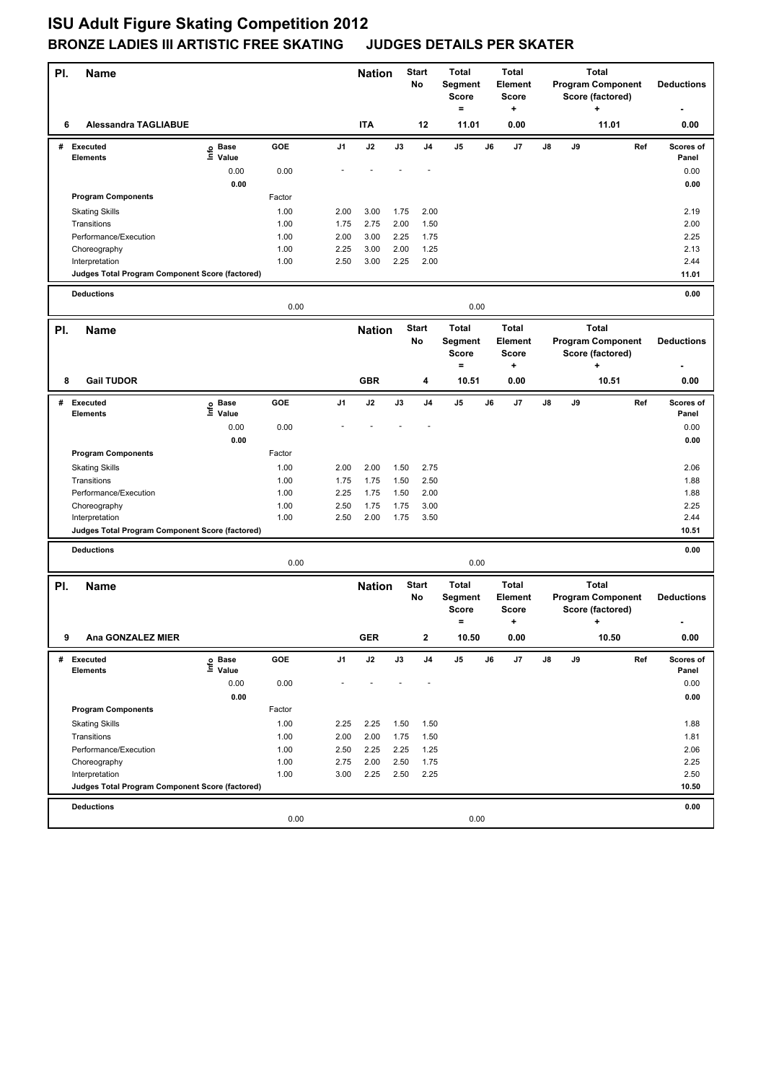| PI. | Name                                                              |                              |              |              | <b>Nation</b> |              | <b>Start</b><br>No | <b>Total</b><br>Segment<br>Score<br>$=$ |    | <b>Total</b><br>Element<br><b>Score</b><br>+ | <b>Total</b><br><b>Program Component</b><br>Score (factored)<br>÷ |    |                                                   | <b>Deductions</b> |                    |
|-----|-------------------------------------------------------------------|------------------------------|--------------|--------------|---------------|--------------|--------------------|-----------------------------------------|----|----------------------------------------------|-------------------------------------------------------------------|----|---------------------------------------------------|-------------------|--------------------|
| 6   | <b>Alessandra TAGLIABUE</b>                                       |                              |              |              | <b>ITA</b>    |              | 12                 | 11.01                                   |    | 0.00                                         |                                                                   |    | 11.01                                             |                   | 0.00               |
| #   | <b>Executed</b><br><b>Elements</b>                                | <b>Base</b><br>lnfo<br>Value | GOE          | J1           | J2            | J3           | J4                 | J5                                      | J6 | J7                                           | J8                                                                | J9 |                                                   | Ref               | Scores of<br>Panel |
|     |                                                                   | 0.00                         | 0.00         |              |               |              |                    |                                         |    |                                              |                                                                   |    |                                                   |                   | 0.00               |
|     |                                                                   | 0.00                         |              |              |               |              |                    |                                         |    |                                              |                                                                   |    |                                                   |                   | 0.00               |
|     | <b>Program Components</b>                                         |                              | Factor       |              |               |              |                    |                                         |    |                                              |                                                                   |    |                                                   |                   |                    |
|     | <b>Skating Skills</b>                                             |                              | 1.00         | 2.00         | 3.00          | 1.75         | 2.00               |                                         |    |                                              |                                                                   |    |                                                   |                   | 2.19               |
|     | Transitions                                                       |                              | 1.00         | 1.75         | 2.75          | 2.00         | 1.50               |                                         |    |                                              |                                                                   |    |                                                   |                   | 2.00               |
|     | Performance/Execution                                             |                              | 1.00         | 2.00         | 3.00          | 2.25         | 1.75               |                                         |    |                                              |                                                                   |    |                                                   |                   | 2.25               |
|     | Choreography<br>Interpretation                                    |                              | 1.00<br>1.00 | 2.25<br>2.50 | 3.00<br>3.00  | 2.00<br>2.25 | 1.25<br>2.00       |                                         |    |                                              |                                                                   |    |                                                   |                   | 2.13<br>2.44       |
|     | Judges Total Program Component Score (factored)                   |                              |              |              |               |              |                    |                                         |    |                                              |                                                                   |    |                                                   |                   | 11.01              |
|     |                                                                   |                              |              |              |               |              |                    |                                         |    |                                              |                                                                   |    |                                                   |                   |                    |
|     | <b>Deductions</b>                                                 |                              | 0.00         |              |               |              |                    | 0.00                                    |    |                                              |                                                                   |    |                                                   |                   | 0.00               |
| PI. | Name                                                              |                              |              |              | <b>Nation</b> |              | <b>Start</b>       | <b>Total</b>                            |    | <b>Total</b>                                 |                                                                   |    | <b>Total</b>                                      |                   |                    |
|     |                                                                   |                              |              |              |               |              | No                 | Segment<br><b>Score</b>                 |    | Element<br><b>Score</b>                      |                                                                   |    | <b>Program Component</b><br>Score (factored)      |                   | <b>Deductions</b>  |
| 8   | <b>Gail TUDOR</b>                                                 |                              |              |              | <b>GBR</b>    |              | 4                  | $\qquad \qquad =$<br>10.51              |    | ٠<br>0.00                                    |                                                                   |    | +<br>10.51                                        |                   | 0.00               |
|     |                                                                   |                              |              |              |               |              |                    |                                         |    |                                              |                                                                   |    |                                                   |                   |                    |
| #   | Executed<br><b>Elements</b>                                       | e Base<br>E Value            | GOE          | J1           | J2            | J3           | J <sub>4</sub>     | J5                                      | J6 | J7                                           | $\mathbf{J}$ 8                                                    | J9 |                                                   | Ref               | Scores of<br>Panel |
|     |                                                                   | 0.00                         | 0.00         |              |               |              |                    |                                         |    |                                              |                                                                   |    |                                                   |                   | 0.00               |
|     |                                                                   | 0.00                         |              |              |               |              |                    |                                         |    |                                              |                                                                   |    |                                                   |                   | 0.00               |
|     | <b>Program Components</b>                                         |                              | Factor       |              |               |              |                    |                                         |    |                                              |                                                                   |    |                                                   |                   |                    |
|     | <b>Skating Skills</b>                                             |                              | 1.00         | 2.00         | 2.00          | 1.50         | 2.75               |                                         |    |                                              |                                                                   |    |                                                   |                   | 2.06               |
|     | Transitions                                                       |                              | 1.00         | 1.75         | 1.75          | 1.50         | 2.50               |                                         |    |                                              |                                                                   |    |                                                   |                   | 1.88               |
|     | Performance/Execution                                             |                              | 1.00         | 2.25         | 1.75          | 1.50         | 2.00               |                                         |    |                                              |                                                                   |    |                                                   |                   | 1.88               |
|     | Choreography                                                      |                              | 1.00         | 2.50         | 1.75          | 1.75         | 3.00               |                                         |    |                                              |                                                                   |    |                                                   |                   | 2.25               |
|     | Interpretation<br>Judges Total Program Component Score (factored) |                              | 1.00         | 2.50         | 2.00          | 1.75         | 3.50               |                                         |    |                                              |                                                                   |    |                                                   |                   | 2.44<br>10.51      |
|     |                                                                   |                              |              |              |               |              |                    |                                         |    |                                              |                                                                   |    |                                                   |                   |                    |
|     | <b>Deductions</b>                                                 |                              | 0.00         |              |               |              |                    | 0.00                                    |    |                                              |                                                                   |    |                                                   |                   | 0.00               |
|     |                                                                   |                              |              |              |               |              | <b>Start</b>       | <b>Total</b>                            |    | <b>Total</b>                                 |                                                                   |    | <b>Total</b>                                      |                   |                    |
| PI. | <b>Name</b>                                                       |                              |              |              | <b>Nation</b> |              | No                 | Segment<br><b>Score</b><br>$\equiv$     |    | Element<br>Score<br>+                        |                                                                   |    | <b>Program Component</b><br>Score (factored)<br>٠ |                   | <b>Deductions</b>  |
| 9   | Ana GONZALEZ MIER                                                 |                              |              |              | GER           |              | 2                  | 10.50                                   |    | 0.00                                         |                                                                   |    | 10.50                                             |                   | 0.00               |
| #   | Executed                                                          | e Base<br>⊑ Value            | GOE          | J1           | J2            | J3           | J4                 | J5                                      | J6 | J7                                           | J8                                                                | J9 |                                                   | Ref               | Scores of          |
|     | Elements                                                          |                              |              |              |               |              |                    |                                         |    |                                              |                                                                   |    |                                                   |                   | Panel              |
|     |                                                                   | 0.00                         | 0.00         |              |               |              |                    |                                         |    |                                              |                                                                   |    |                                                   |                   | 0.00               |
|     |                                                                   | 0.00                         |              |              |               |              |                    |                                         |    |                                              |                                                                   |    |                                                   |                   | 0.00               |
|     | <b>Program Components</b>                                         |                              | Factor       |              |               |              |                    |                                         |    |                                              |                                                                   |    |                                                   |                   |                    |
|     | <b>Skating Skills</b><br>Transitions                              |                              | 1.00<br>1.00 | 2.25<br>2.00 | 2.25<br>2.00  | 1.50<br>1.75 | 1.50               |                                         |    |                                              |                                                                   |    |                                                   |                   | 1.88<br>1.81       |
|     | Performance/Execution                                             |                              | 1.00         | 2.50         | 2.25          | 2.25         | 1.50<br>1.25       |                                         |    |                                              |                                                                   |    |                                                   |                   | 2.06               |
|     | Choreography                                                      |                              | 1.00         | 2.75         | 2.00          | 2.50         | 1.75               |                                         |    |                                              |                                                                   |    |                                                   |                   | 2.25               |
|     | Interpretation                                                    |                              | 1.00         | 3.00         | 2.25          | 2.50         | 2.25               |                                         |    |                                              |                                                                   |    |                                                   |                   | 2.50               |
|     | Judges Total Program Component Score (factored)                   |                              |              |              |               |              |                    |                                         |    |                                              |                                                                   |    |                                                   |                   | 10.50              |
|     | <b>Deductions</b>                                                 |                              |              |              |               |              |                    |                                         |    |                                              |                                                                   |    |                                                   |                   | 0.00               |
|     |                                                                   |                              | 0.00         |              |               |              |                    | 0.00                                    |    |                                              |                                                                   |    |                                                   |                   |                    |